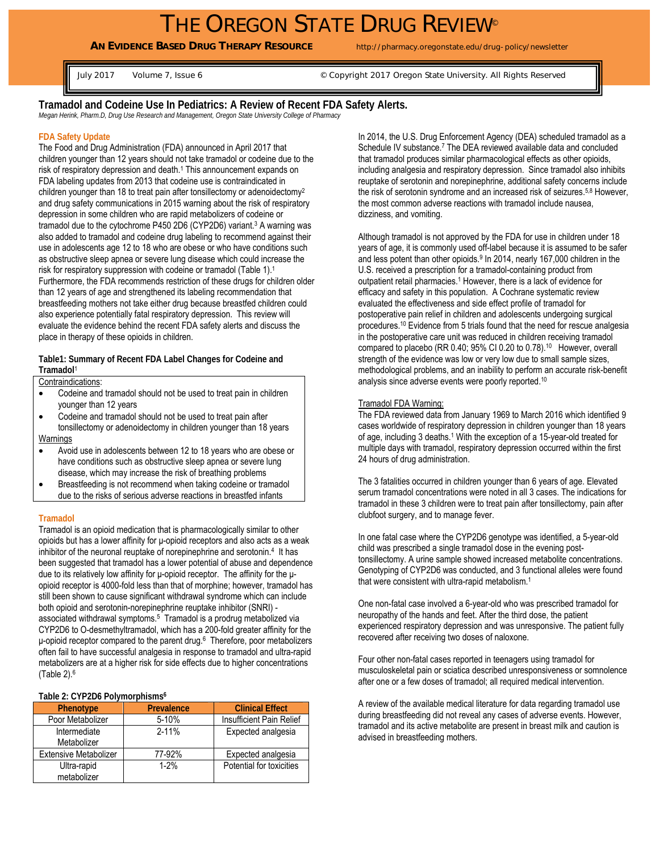**AN EVIDENCE BASED DRUG THERAPY RESOURCE** http://pharmacy.oregonstate.edu/drug-policy/newsletter

July 2017 Volume 7, Issue 6 Copyright 2017 Oregon State University. All Rights Reserved

**Tramadol and Codeine Use In Pediatrics: A Review of Recent FDA Safety Alerts.** 

*Megan Herink, Pharm.D, Drug Use Research and Management, Oregon State University College of Pharmacy* 

# **FDA Safety Update**

The Food and Drug Administration (FDA) announced in April 2017 that children younger than 12 years should not take tramadol or codeine due to the risk of respiratory depression and death.<sup>1</sup> This announcement expands on FDA labeling updates from 2013 that codeine use is contraindicated in children younger than 18 to treat pain after tonsillectomy or adenoidectomy2 and drug safety communications in 2015 warning about the risk of respiratory depression in some children who are rapid metabolizers of codeine or tramadol due to the cytochrome P450 2D6 (CYP2D6) variant.<sup>3</sup> A warning was also added to tramadol and codeine drug labeling to recommend against their use in adolescents age 12 to 18 who are obese or who have conditions such as obstructive sleep apnea or severe lung disease which could increase the risk for respiratory suppression with codeine or tramadol (Table 1).<sup>1</sup> Furthermore, the FDA recommends restriction of these drugs for children older than 12 years of age and strengthened its labeling recommendation that breastfeeding mothers not take either drug because breastfed children could also experience potentially fatal respiratory depression. This review will evaluate the evidence behind the recent FDA safety alerts and discuss the place in therapy of these opioids in children.

**Table1: Summary of Recent FDA Label Changes for Codeine and Tramadol**1

Contraindications:

- Codeine and tramadol should not be used to treat pain in children younger than 12 years
- Codeine and tramadol should not be used to treat pain after tonsillectomy or adenoidectomy in children younger than 18 years **Warnings**
- Avoid use in adolescents between 12 to 18 years who are obese or have conditions such as obstructive sleep apnea or severe lung disease, which may increase the risk of breathing problems
- Breastfeeding is not recommend when taking codeine or tramadol due to the risks of serious adverse reactions in breastfed infants

## **Tramadol**

Tramadol is an opioid medication that is pharmacologically similar to other opioids but has a lower affinity for μ-opioid receptors and also acts as a weak inhibitor of the neuronal reuptake of norepinephrine and serotonin.<sup>4</sup> It has been suggested that tramadol has a lower potential of abuse and dependence due to its relatively low affinity for μ-opioid receptor. The affinity for the μopioid receptor is 4000-fold less than that of morphine; however, tramadol has still been shown to cause significant withdrawal syndrome which can include both opioid and serotonin-norepinephrine reuptake inhibitor (SNRI) associated withdrawal symptoms.5 Tramadol is a prodrug metabolized via CYP2D6 to O-desmethyltramadol, which has a 200-fold greater affinity for the μ-opioid receptor compared to the parent drug.6 Therefore, poor metabolizers often fail to have successful analgesia in response to tramadol and ultra-rapid metabolizers are at a higher risk for side effects due to higher concentrations (Table 2).6

## **Table 2: CYP2D6 Polymorphisms6**

| Phenotype                    | Prevalence | <b>Clinical Effect</b>   |
|------------------------------|------------|--------------------------|
| Poor Metabolizer             | $5 - 10%$  | Insufficient Pain Relief |
| Intermediate                 | $2 - 11%$  | Expected analgesia       |
| Metabolizer                  |            |                          |
| <b>Extensive Metabolizer</b> | 77-92%     | Expected analgesia       |
| Ultra-rapid                  | $1-2%$     | Potential for toxicities |
| metabolizer                  |            |                          |

In 2014, the U.S. Drug Enforcement Agency (DEA) scheduled tramadol as a Schedule IV substance.<sup>7</sup> The DEA reviewed available data and concluded that tramadol produces similar pharmacological effects as other opioids, including analgesia and respiratory depression. Since tramadol also inhibits reuptake of serotonin and norepinephrine, additional safety concerns include the risk of serotonin syndrome and an increased risk of seizures.<sup>5,8</sup> However, the most common adverse reactions with tramadol include nausea, dizziness, and vomiting.

Although tramadol is not approved by the FDA for use in children under 18 years of age, it is commonly used off-label because it is assumed to be safer and less potent than other opioids.9 In 2014, nearly 167,000 children in the U.S. received a prescription for a tramadol-containing product from outpatient retail pharmacies.1 However, there is a lack of evidence for efficacy and safety in this population. A Cochrane systematic review evaluated the effectiveness and side effect profile of tramadol for postoperative pain relief in children and adolescents undergoing surgical procedures.10 Evidence from 5 trials found that the need for rescue analgesia in the postoperative care unit was reduced in children receiving tramadol compared to placebo (RR 0.40; 95% CI 0.20 to 0.78).<sup>10</sup> However, overall strength of the evidence was low or very low due to small sample sizes, methodological problems, and an inability to perform an accurate risk-benefit analysis since adverse events were poorly reported.10

#### Tramadol FDA Warning:

The FDA reviewed data from January 1969 to March 2016 which identified 9 cases worldwide of respiratory depression in children younger than 18 years of age, including 3 deaths.<sup>1</sup> With the exception of a 15-year-old treated for multiple days with tramadol, respiratory depression occurred within the first 24 hours of drug administration.

The 3 fatalities occurred in children younger than 6 years of age. Elevated serum tramadol concentrations were noted in all 3 cases. The indications for tramadol in these 3 children were to treat pain after tonsillectomy, pain after clubfoot surgery, and to manage fever.

In one fatal case where the CYP2D6 genotype was identified, a 5-year-old child was prescribed a single tramadol dose in the evening posttonsillectomy. A urine sample showed increased metabolite concentrations. Genotyping of CYP2D6 was conducted, and 3 functional alleles were found that were consistent with ultra-rapid metabolism.1

One non-fatal case involved a 6-year-old who was prescribed tramadol for neuropathy of the hands and feet. After the third dose, the patient experienced respiratory depression and was unresponsive. The patient fully recovered after receiving two doses of naloxone.

Four other non-fatal cases reported in teenagers using tramadol for musculoskeletal pain or sciatica described unresponsiveness or somnolence after one or a few doses of tramadol; all required medical intervention.

A review of the available medical literature for data regarding tramadol use during breastfeeding did not reveal any cases of adverse events. However, tramadol and its active metabolite are present in breast milk and caution is advised in breastfeeding mothers.